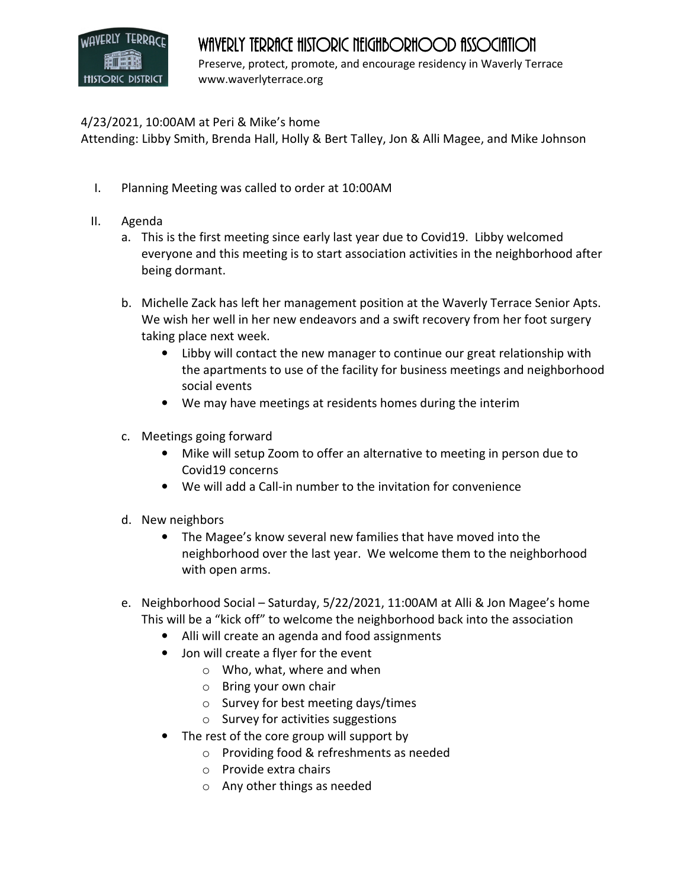## **HISTORIC DISTRICT**

## WAVERLY TERRACE HISTORIC NEIGHBORHOOD ASSOCIATION

Preserve, protect, promote, and encourage residency in Waverly Terrace www.waverlyterrace.org

## 4/23/2021, 10:00AM at Peri & Mike's home

Attending: Libby Smith, Brenda Hall, Holly & Bert Talley, Jon & Alli Magee, and Mike Johnson

- I. Planning Meeting was called to order at 10:00AM
- II. Agenda
	- a. This is the first meeting since early last year due to Covid19. Libby welcomed everyone and this meeting is to start association activities in the neighborhood after being dormant.
	- b. Michelle Zack has left her management position at the Waverly Terrace Senior Apts. We wish her well in her new endeavors and a swift recovery from her foot surgery taking place next week.
		- Libby will contact the new manager to continue our great relationship with the apartments to use of the facility for business meetings and neighborhood social events
		- We may have meetings at residents homes during the interim
	- c. Meetings going forward
		- Mike will setup Zoom to offer an alternative to meeting in person due to Covid19 concerns
		- We will add a Call-in number to the invitation for convenience
	- d. New neighbors
		- The Magee's know several new families that have moved into the neighborhood over the last year. We welcome them to the neighborhood with open arms.
	- e. Neighborhood Social Saturday, 5/22/2021, 11:00AM at Alli & Jon Magee's home This will be a "kick off" to welcome the neighborhood back into the association
		- Alli will create an agenda and food assignments
		- Jon will create a flyer for the event
			- o Who, what, where and when
			- o Bring your own chair
			- o Survey for best meeting days/times
			- $\circ$  Survey for activities suggestions
		- The rest of the core group will support by
			- o Providing food & refreshments as needed
			- o Provide extra chairs
			- o Any other things as needed